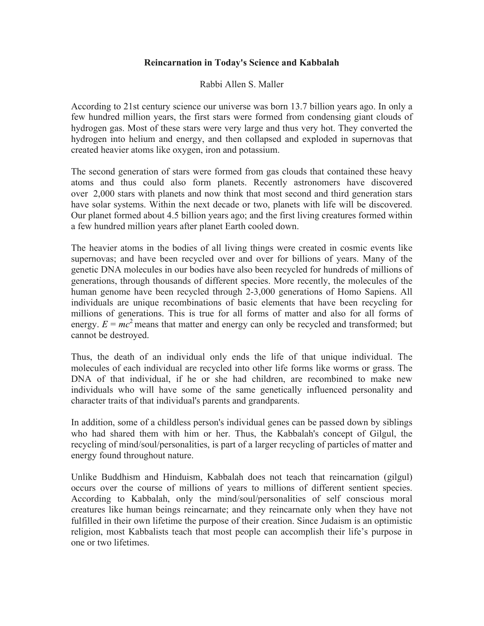## **Reincarnation in Today's Science and Kabbalah**

## Rabbi Allen S. Maller

According to 21st century science our universe was born 13.7 billion years ago. In only a few hundred million years, the first stars were formed from condensing giant clouds of hydrogen gas. Most of these stars were very large and thus very hot. They converted the hydrogen into helium and energy, and then collapsed and exploded in supernovas that created heavier atoms like oxygen, iron and potassium.

The second generation of stars were formed from gas clouds that contained these heavy atoms and thus could also form planets. Recently astronomers have discovered over 2,000 stars with planets and now think that most second and third generation stars have solar systems. Within the next decade or two, planets with life will be discovered. Our planet formed about 4.5 billion years ago; and the first living creatures formed within a few hundred million years after planet Earth cooled down.

The heavier atoms in the bodies of all living things were created in cosmic events like supernovas; and have been recycled over and over for billions of years. Many of the genetic DNA molecules in our bodies have also been recycled for hundreds of millions of generations, through thousands of different species. More recently, the molecules of the human genome have been recycled through 2-3,000 generations of Homo Sapiens. All individuals are unique recombinations of basic elements that have been recycling for millions of generations. This is true for all forms of matter and also for all forms of energy.  $E = mc^2$  means that matter and energy can only be recycled and transformed; but cannot be destroyed.

Thus, the death of an individual only ends the life of that unique individual. The molecules of each individual are recycled into other life forms like worms or grass. The DNA of that individual, if he or she had children, are recombined to make new individuals who will have some of the same genetically influenced personality and character traits of that individual's parents and grandparents.

In addition, some of a childless person's individual genes can be passed down by siblings who had shared them with him or her. Thus, the Kabbalah's concept of Gilgul, the recycling of mind/soul/personalities, is part of a larger recycling of particles of matter and energy found throughout nature.

Unlike Buddhism and Hinduism, Kabbalah does not teach that reincarnation (gilgul) occurs over the course of millions of years to millions of different sentient species. According to Kabbalah, only the mind/soul/personalities of self conscious moral creatures like human beings reincarnate; and they reincarnate only when they have not fulfilled in their own lifetime the purpose of their creation. Since Judaism is an optimistic religion, most Kabbalists teach that most people can accomplish their life's purpose in one or two lifetimes.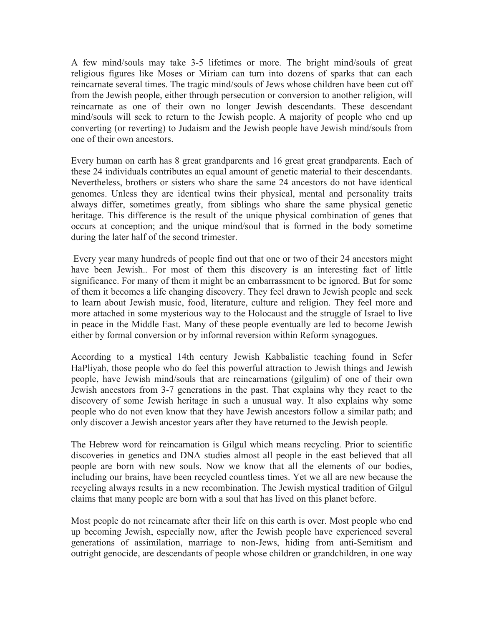A few mind/souls may take 3-5 lifetimes or more. The bright mind/souls of great religious figures like Moses or Miriam can turn into dozens of sparks that can each reincarnate several times. The tragic mind/souls of Jews whose children have been cut off from the Jewish people, either through persecution or conversion to another religion, will reincarnate as one of their own no longer Jewish descendants. These descendant mind/souls will seek to return to the Jewish people. A majority of people who end up converting (or reverting) to Judaism and the Jewish people have Jewish mind/souls from one of their own ancestors.

Every human on earth has 8 great grandparents and 16 great great grandparents. Each of these 24 individuals contributes an equal amount of genetic material to their descendants. Nevertheless, brothers or sisters who share the same 24 ancestors do not have identical genomes. Unless they are identical twins their physical, mental and personality traits always differ, sometimes greatly, from siblings who share the same physical genetic heritage. This difference is the result of the unique physical combination of genes that occurs at conception; and the unique mind/soul that is formed in the body sometime during the later half of the second trimester.

Every year many hundreds of people find out that one or two of their 24 ancestors might have been Jewish.. For most of them this discovery is an interesting fact of little significance. For many of them it might be an embarrassment to be ignored. But for some of them it becomes a life changing discovery. They feel drawn to Jewish people and seek to learn about Jewish music, food, literature, culture and religion. They feel more and more attached in some mysterious way to the Holocaust and the struggle of Israel to live in peace in the Middle East. Many of these people eventually are led to become Jewish either by formal conversion or by informal reversion within Reform synagogues.

According to a mystical 14th century Jewish Kabbalistic teaching found in Sefer HaPliyah, those people who do feel this powerful attraction to Jewish things and Jewish people, have Jewish mind/souls that are reincarnations (gilgulim) of one of their own Jewish ancestors from 3-7 generations in the past. That explains why they react to the discovery of some Jewish heritage in such a unusual way. It also explains why some people who do not even know that they have Jewish ancestors follow a similar path; and only discover a Jewish ancestor years after they have returned to the Jewish people.

The Hebrew word for reincarnation is Gilgul which means recycling. Prior to scientific discoveries in genetics and DNA studies almost all people in the east believed that all people are born with new souls. Now we know that all the elements of our bodies, including our brains, have been recycled countless times. Yet we all are new because the recycling always results in a new recombination. The Jewish mystical tradition of Gilgul claims that many people are born with a soul that has lived on this planet before.

Most people do not reincarnate after their life on this earth is over. Most people who end up becoming Jewish, especially now, after the Jewish people have experienced several generations of assimilation, marriage to non-Jews, hiding from anti-Semitism and outright genocide, are descendants of people whose children or grandchildren, in one way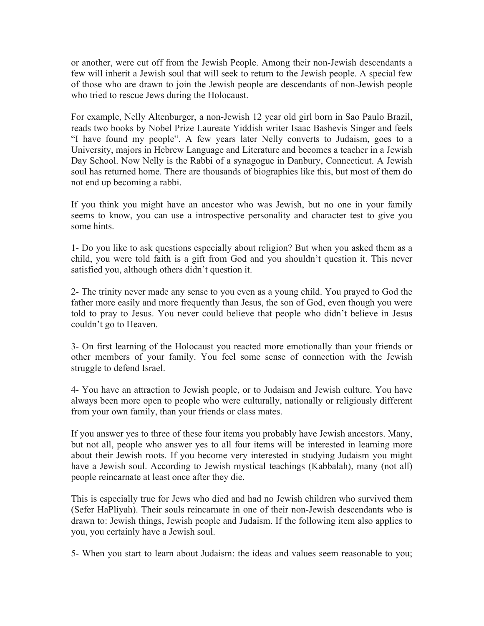or another, were cut off from the Jewish People. Among their non-Jewish descendants a few will inherit a Jewish soul that will seek to return to the Jewish people. A special few of those who are drawn to join the Jewish people are descendants of non-Jewish people who tried to rescue Jews during the Holocaust.

For example, Nelly Altenburger, a non-Jewish 12 year old girl born in Sao Paulo Brazil, reads two books by Nobel Prize Laureate Yiddish writer Isaac Bashevis Singer and feels "I have found my people". A few years later Nelly converts to Judaism, goes to a University, majors in Hebrew Language and Literature and becomes a teacher in a Jewish Day School. Now Nelly is the Rabbi of a synagogue in Danbury, Connecticut. A Jewish soul has returned home. There are thousands of biographies like this, but most of them do not end up becoming a rabbi.

If you think you might have an ancestor who was Jewish, but no one in your family seems to know, you can use a introspective personality and character test to give you some hints.

1- Do you like to ask questions especially about religion? But when you asked them as a child, you were told faith is a gift from God and you shouldn't question it. This never satisfied you, although others didn't question it.

2- The trinity never made any sense to you even as a young child. You prayed to God the father more easily and more frequently than Jesus, the son of God, even though you were told to pray to Jesus. You never could believe that people who didn't believe in Jesus couldn't go to Heaven.

3- On first learning of the Holocaust you reacted more emotionally than your friends or other members of your family. You feel some sense of connection with the Jewish struggle to defend Israel.

4- You have an attraction to Jewish people, or to Judaism and Jewish culture. You have always been more open to people who were culturally, nationally or religiously different from your own family, than your friends or class mates.

If you answer yes to three of these four items you probably have Jewish ancestors. Many, but not all, people who answer yes to all four items will be interested in learning more about their Jewish roots. If you become very interested in studying Judaism you might have a Jewish soul. According to Jewish mystical teachings (Kabbalah), many (not all) people reincarnate at least once after they die.

This is especially true for Jews who died and had no Jewish children who survived them (Sefer HaPliyah). Their souls reincarnate in one of their non-Jewish descendants who is drawn to: Jewish things, Jewish people and Judaism. If the following item also applies to you, you certainly have a Jewish soul.

5- When you start to learn about Judaism: the ideas and values seem reasonable to you;